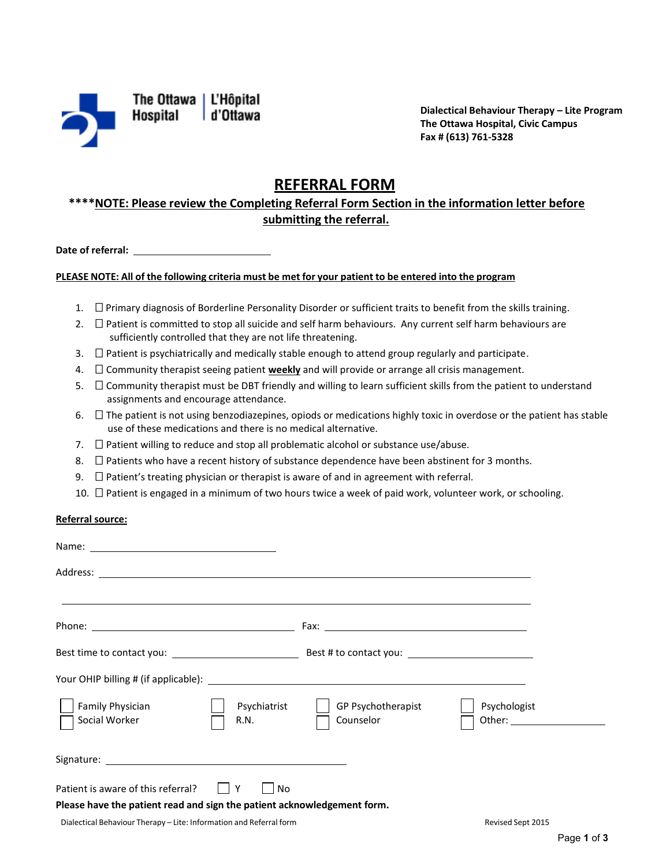

The Ottawa | L'Hôpital **Hospital** d'Ottawa

**Dialectical Behaviour Therapy – Lite Program The Ottawa Hospital, Civic Campus Fax # (613) 761-5328** 

# **REFERRAL FORM**

## **\*\*\*\*NOTE: Please review the Completing Referral Form Section in the information letter before submitting the referral.**

Date of referral:

# **Date of referral: PLEASE NOTE: All of the following criteria must be met for your patient to be entered into the program**

- 1.  $\square$  Primary diagnosis of Borderline Personality Disorder or sufficient traits to benefit from the skills training.
- 2.  $\Box$  Patient is committed to stop all suicide and self harm behaviours. Any current self harm behaviours are sufficiently controlled that they are not life threatening.
- 3.  $\Box$  Patient is psychiatrically and medically stable enough to attend group regularly and participate.
- 4.  $\Box$  Community therapist seeing patient **weekly** and will provide or arrange all crisis management.
- 5.  $\Box$  Community therapist must be DBT friendly and willing to learn sufficient skills from the patient to understand assignments and encourage attendance.
- 6.  $\Box$  The patient is not using benzodiazepines, opiods or medications highly toxic in overdose or the patient has stable use of these medications and there is no medical alternative.
- 7.  $\Box$  Patient willing to reduce and stop all problematic alcohol or substance use/abuse.
- 8.  $\Box$  Patients who have a recent history of substance dependence have been abstinent for 3 months.
- 9.  $\Box$  Patient's treating physician or therapist is aware of and in agreement with referral.
- 10.  $\Box$  Patient is engaged in a minimum of two hours twice a week of paid work, volunteer work, or schooling.

#### **Referral source:**

| Family Physician<br>Psychiatrist<br>Social Worker<br>R.N.                                                                 | GP Psychotherapist<br>Counselor | Psychologist |
|---------------------------------------------------------------------------------------------------------------------------|---------------------------------|--------------|
|                                                                                                                           |                                 |              |
| Patient is aware of this referral?     Y<br>No<br>Please have the patient read and sign the patient acknowledgement form. |                                 |              |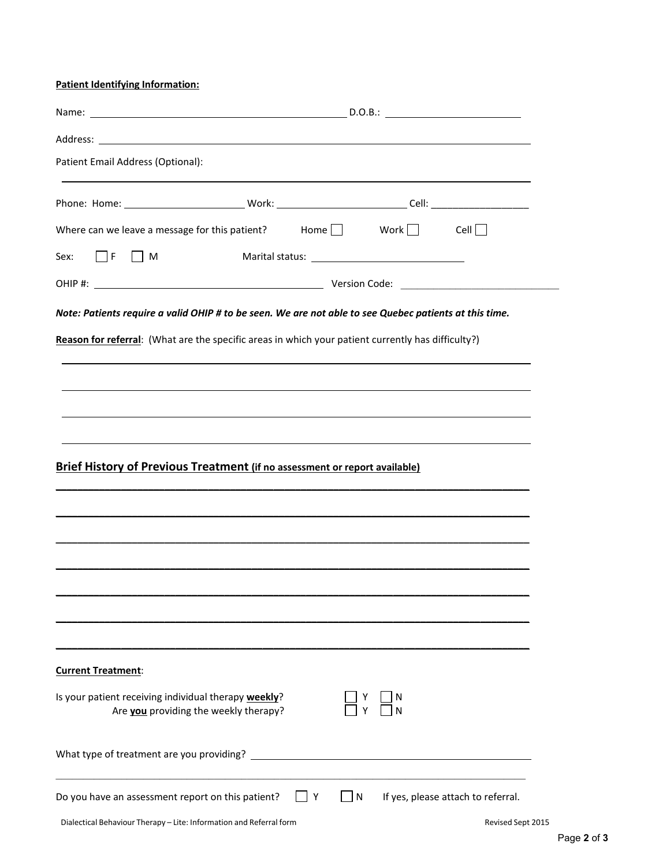**Patient Identifying Information:** 

| Patient Email Address (Optional):                                                                      |  |          |  |                                    |
|--------------------------------------------------------------------------------------------------------|--|----------|--|------------------------------------|
|                                                                                                        |  |          |  |                                    |
| Where can we leave a message for this patient? Home $\Box$ Work $\Box$ Cell $\Box$                     |  |          |  |                                    |
| Sex: $\Box$ F $\Box$ M                                                                                 |  |          |  |                                    |
|                                                                                                        |  |          |  |                                    |
| Note: Patients require a valid OHIP # to be seen. We are not able to see Quebec patients at this time. |  |          |  |                                    |
| Reason for referral: (What are the specific areas in which your patient currently has difficulty?)     |  |          |  |                                    |
|                                                                                                        |  |          |  |                                    |
| ,我们也不能会有一个人的事情。""我们的人,我们也不能会有一个人的人,我们也不能会有一个人的人,我们也不能会有一个人的人,我们也不能会有一个人的人,我们也不能会                       |  |          |  |                                    |
|                                                                                                        |  |          |  |                                    |
|                                                                                                        |  |          |  |                                    |
| <b>Brief History of Previous Treatment (if no assessment or report available)</b>                      |  |          |  |                                    |
|                                                                                                        |  |          |  |                                    |
|                                                                                                        |  |          |  |                                    |
|                                                                                                        |  |          |  |                                    |
|                                                                                                        |  |          |  |                                    |
|                                                                                                        |  |          |  |                                    |
|                                                                                                        |  |          |  |                                    |
|                                                                                                        |  |          |  |                                    |
|                                                                                                        |  |          |  |                                    |
| <b>Current Treatment:</b>                                                                              |  |          |  |                                    |
| Is your patient receiving individual therapy weekly?                                                   |  |          |  |                                    |
| Are you providing the weekly therapy?                                                                  |  |          |  |                                    |
|                                                                                                        |  |          |  |                                    |
|                                                                                                        |  |          |  |                                    |
| Do you have an assessment report on this patient?                                                      |  | I N<br>Y |  | If yes, please attach to referral. |
| Dialectical Behaviour Therapy - Lite: Information and Referral form                                    |  |          |  | Revised Sept 2015                  |